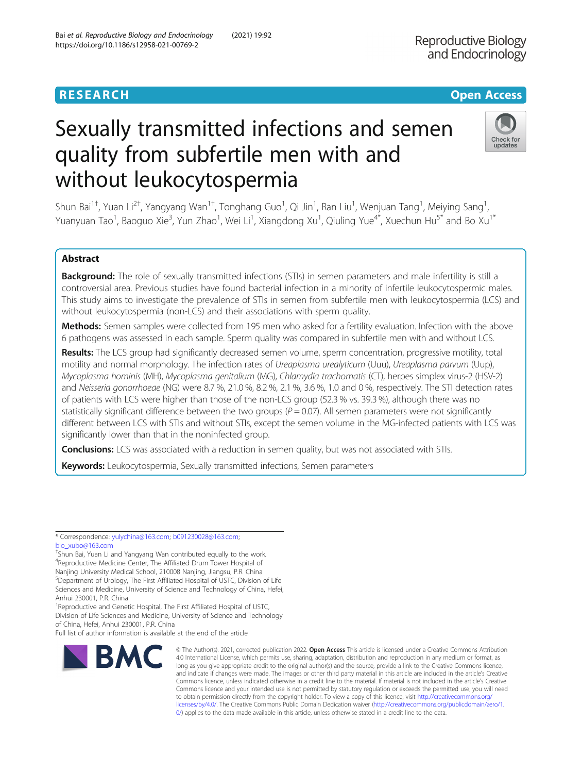Check for updates

# Sexually transmitted infections and semen quality from subfertile men with and without leukocytospermia

Shun Bai<sup>1†</sup>, Yuan Li<sup>2†</sup>, Yangyang Wan<sup>1†</sup>, Tonghang Guo<sup>1</sup>, Qi Jin<sup>1</sup>, Ran Liu<sup>1</sup>, Wenjuan Tang<sup>1</sup>, Meiying Sang<sup>1</sup> , Yuanyuan Tao<sup>1</sup>, Baoguo Xie<sup>3</sup>, Yun Zhao<sup>1</sup>, Wei Li<sup>1</sup>, Xiangdong Xu<sup>1</sup>, Qiuling Yue<sup>4\*</sup>, Xuechun Hu<sup>5\*</sup> and Bo Xu<sup>1\*</sup>

# Abstract

Background: The role of sexually transmitted infections (STIs) in semen parameters and male infertility is still a controversial area. Previous studies have found bacterial infection in a minority of infertile leukocytospermic males. This study aims to investigate the prevalence of STIs in semen from subfertile men with leukocytospermia (LCS) and without leukocytospermia (non-LCS) and their associations with sperm quality.

Methods: Semen samples were collected from 195 men who asked for a fertility evaluation. Infection with the above 6 pathogens was assessed in each sample. Sperm quality was compared in subfertile men with and without LCS.

Results: The LCS group had significantly decreased semen volume, sperm concentration, progressive motility, total motility and normal morphology. The infection rates of Ureaplasma urealyticum (Uuu), Ureaplasma parvum (Uup), Mycoplasma hominis (MH), Mycoplasma genitalium (MG), Chlamydia trachomatis (CT), herpes simplex virus-2 (HSV-2) and Neisseria gonorrhoeae (NG) were 8.7 %, 21.0 %, 8.2 %, 2.1 %, 3.6 %, 1.0 and 0 %, respectively. The STI detection rates of patients with LCS were higher than those of the non-LCS group (52.3 % vs. 39.3 %), although there was no statistically significant difference between the two groups ( $P = 0.07$ ). All semen parameters were not significantly different between LCS with STIs and without STIs, except the semen volume in the MG-infected patients with LCS was significantly lower than that in the noninfected group.

**Conclusions:** LCS was associated with a reduction in semen quality, but was not associated with STIs.

Keywords: Leukocytospermia, Sexually transmitted infections, Semen parameters

\* Correspondence: [yulychina@163.com;](mailto:yulychina@163.com) [b091230028@163.com](mailto:b091230028@163.com); [bio\\_xubo@163.com](mailto:bio_xubo@163.com)

† Shun Bai, Yuan Li and Yangyang Wan contributed equally to the work. 4 Reproductive Medicine Center, The Affiliated Drum Tower Hospital of Nanjing University Medical School, 210008 Nanjing, Jiangsu, P.R. China <sup>5</sup>Department of Urology, The First Affiliated Hospital of USTC, Division of Life Sciences and Medicine, University of Science and Technology of China, Hefei, Anhui 230001, P.R. China

<sup>1</sup> Reproductive and Genetic Hospital, The First Affiliated Hospital of USTC, Division of Life Sciences and Medicine, University of Science and Technology of China, Hefei, Anhui 230001, P.R. China

Full list of author information is available at the end of the article



© The Author(s). 2021, corrected publication 2022. Open Access This article is licensed under a Creative Commons Attribution 4.0 International License, which permits use, sharing, adaptation, distribution and reproduction in any medium or format, as long as you give appropriate credit to the original author(s) and the source, provide a link to the Creative Commons licence, and indicate if changes were made. The images or other third party material in this article are included in the article's Creative Commons licence, unless indicated otherwise in a credit line to the material. If material is not included in the article's Creative Commons licence and your intended use is not permitted by statutory regulation or exceeds the permitted use, you will need to obtain permission directly from the copyright holder. To view a copy of this licence, visit [http://creativecommons.org/](http://creativecommons.org/licenses/by/4.0/) [licenses/by/4.0/.](http://creativecommons.org/licenses/by/4.0/) The Creative Commons Public Domain Dedication waiver ([http://creativecommons.org/publicdomain/zero/1.](http://creativecommons.org/publicdomain/zero/1.0/) [0/\)](http://creativecommons.org/publicdomain/zero/1.0/) applies to the data made available in this article, unless otherwise stated in a credit line to the data.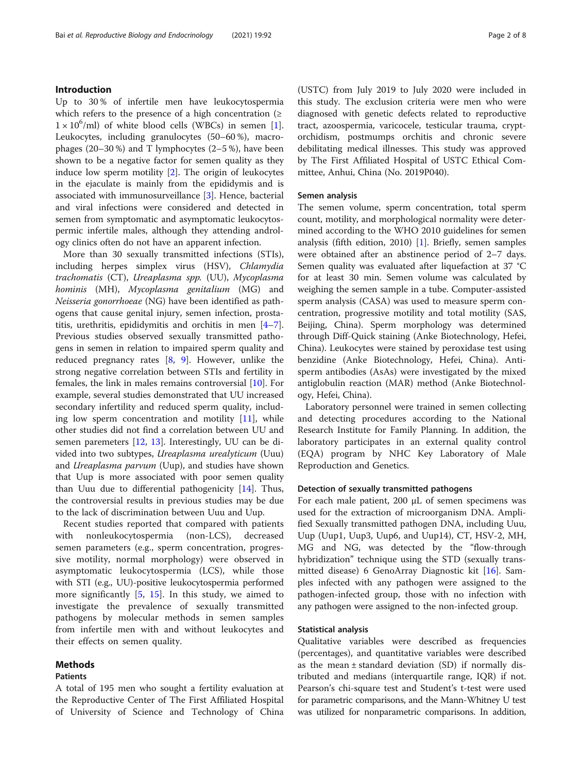# Introduction

Up to 30 % of infertile men have leukocytospermia which refers to the presence of a high concentration ( $\geq$  $1 \times 10^6$ /ml) of white blood cells (WBCs) in semen [\[1](#page-6-0)]. Leukocytes, including granulocytes (50–60 %), macrophages  $(20-30\%)$  and T lymphocytes  $(2-5\%)$ , have been shown to be a negative factor for semen quality as they induce low sperm motility [\[2](#page-6-0)]. The origin of leukocytes in the ejaculate is mainly from the epididymis and is associated with immunosurveillance [\[3\]](#page-6-0). Hence, bacterial and viral infections were considered and detected in semen from symptomatic and asymptomatic leukocytospermic infertile males, although they attending andrology clinics often do not have an apparent infection.

More than 30 sexually transmitted infections (STIs), including herpes simplex virus (HSV), Chlamydia trachomatis (CT), Ureaplasma spp. (UU), Mycoplasma hominis (MH), Mycoplasma genitalium (MG) and Neisseria gonorrhoeae (NG) have been identified as pathogens that cause genital injury, semen infection, prostatitis, urethritis, epididymitis and orchitis in men [\[4](#page-6-0)–[7](#page-6-0)]. Previous studies observed sexually transmitted pathogens in semen in relation to impaired sperm quality and reduced pregnancy rates  $[8, 9]$  $[8, 9]$  $[8, 9]$  $[8, 9]$ . However, unlike the strong negative correlation between STIs and fertility in females, the link in males remains controversial [\[10](#page-6-0)]. For example, several studies demonstrated that UU increased secondary infertility and reduced sperm quality, including low sperm concentration and motility  $[11]$  $[11]$ , while other studies did not find a correlation between UU and semen paremeters [[12,](#page-6-0) [13](#page-6-0)]. Interestingly, UU can be divided into two subtypes, Ureaplasma urealyticum (Uuu) and Ureaplasma parvum (Uup), and studies have shown that Uup is more associated with poor semen quality than Uuu due to differential pathogenicity [\[14](#page-7-0)]. Thus, the controversial results in previous studies may be due to the lack of discrimination between Uuu and Uup.

Recent studies reported that compared with patients with nonleukocytospermia (non-LCS), decreased semen parameters (e.g., sperm concentration, progressive motility, normal morphology) were observed in asymptomatic leukocytospermia (LCS), while those with STI (e.g., UU)-positive leukocytospermia performed more significantly  $[5, 15]$  $[5, 15]$  $[5, 15]$  $[5, 15]$  $[5, 15]$ . In this study, we aimed to investigate the prevalence of sexually transmitted pathogens by molecular methods in semen samples from infertile men with and without leukocytes and their effects on semen quality.

# Methods

### Patients

A total of 195 men who sought a fertility evaluation at the Reproductive Center of The First Affiliated Hospital of University of Science and Technology of China (USTC) from July 2019 to July 2020 were included in this study. The exclusion criteria were men who were diagnosed with genetic defects related to reproductive tract, azoospermia, varicocele, testicular trauma, cryptorchidism, postmumps orchitis and chronic severe debilitating medical illnesses. This study was approved by The First Affiliated Hospital of USTC Ethical Committee, Anhui, China (No. 2019P040).

# Semen analysis

The semen volume, sperm concentration, total sperm count, motility, and morphological normality were determined according to the WHO 2010 guidelines for semen analysis (fifth edition, 2010) [\[1\]](#page-6-0). Briefly, semen samples were obtained after an abstinence period of 2–7 days. Semen quality was evaluated after liquefaction at 37 °C for at least 30 min. Semen volume was calculated by weighing the semen sample in a tube. Computer-assisted sperm analysis (CASA) was used to measure sperm concentration, progressive motility and total motility (SAS, Beijing, China). Sperm morphology was determined through Diff-Quick staining (Anke Biotechnology, Hefei, China). Leukocytes were stained by peroxidase test using benzidine (Anke Biotechnology, Hefei, China). Antisperm antibodies (AsAs) were investigated by the mixed antiglobulin reaction (MAR) method (Anke Biotechnology, Hefei, China).

Laboratory personnel were trained in semen collecting and detecting procedures according to the National Research Institute for Family Planning. In addition, the laboratory participates in an external quality control (EQA) program by NHC Key Laboratory of Male Reproduction and Genetics.

## Detection of sexually transmitted pathogens

For each male patient, 200 µL of semen specimens was used for the extraction of microorganism DNA. Amplified Sexually transmitted pathogen DNA, including Uuu, Uup (Uup1, Uup3, Uup6, and Uup14), CT, HSV-2, MH, MG and NG, was detected by the "flow-through hybridization" technique using the STD (sexually transmitted disease) 6 GenoArray Diagnostic kit [[16\]](#page-7-0). Samples infected with any pathogen were assigned to the pathogen-infected group, those with no infection with any pathogen were assigned to the non-infected group.

# Statistical analysis

Qualitative variables were described as frequencies (percentages), and quantitative variables were described as the mean ± standard deviation (SD) if normally distributed and medians (interquartile range, IQR) if not. Pearson's chi-square test and Student's t-test were used for parametric comparisons, and the Mann-Whitney U test was utilized for nonparametric comparisons. In addition,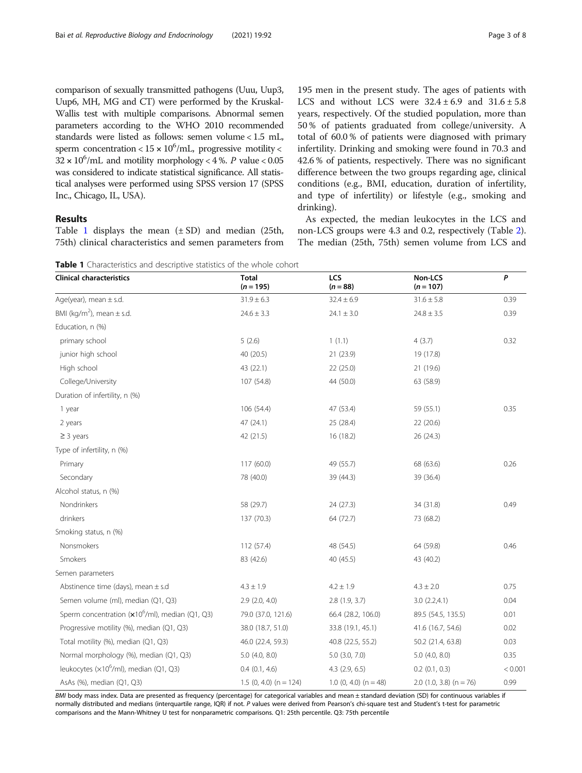comparison of sexually transmitted pathogens (Uuu, Uup3, Uup6, MH, MG and CT) were performed by the Kruskal-Wallis test with multiple comparisons. Abnormal semen parameters according to the WHO 2010 recommended standards were listed as follows: semen volume < 1.5 mL, sperm concentration <  $15 \times 10^6$ /mL, progressive motility <  $32 \times 10^6$ /mL and motility morphology < 4 %. P value < 0.05 was considered to indicate statistical significance. All statistical analyses were performed using SPSS version 17 (SPSS Inc., Chicago, IL, USA).

# Results

Table 1 displays the mean  $(\pm SD)$  and median (25th, 75th) clinical characteristics and semen parameters from

195 men in the present study. The ages of patients with LCS and without LCS were  $32.4 \pm 6.9$  and  $31.6 \pm 5.8$ years, respectively. Of the studied population, more than 50 % of patients graduated from college/university. A total of 60.0 % of patients were diagnosed with primary infertility. Drinking and smoking were found in 70.3 and 42.6 % of patients, respectively. There was no significant difference between the two groups regarding age, clinical conditions (e.g., BMI, education, duration of infertility, and type of infertility) or lifestyle (e.g., smoking and drinking).

As expected, the median leukocytes in the LCS and non-LCS groups were 4.3 and 0.2, respectively (Table [2](#page-3-0)). The median (25th, 75th) semen volume from LCS and

Clinical characteristics Total  $(n = 195)$ LCS  $(n = 88)$ Non-LCS  $(n = 107)$ P Age(year), mean  $\pm$  s.d. 31.9  $\pm$  6.3 32.4  $\pm$  6.3 32.4  $\pm$  6.9 31.6  $\pm$  5.8 31.6  $\pm$  5.8 0.39 BMI (kg/m<sup>2</sup>), mean  $\pm$  s.d.  $\lambda$ , mean ± s.d. 24.6  $\pm$  3.3 24.6  $\pm$  3.3 24.1  $\pm$  3.0 24.8  $\pm$  3.5 23.5 0.39 Education, n (%) primary school 5 (2.6) 1 (1.1) 4 (3.7) 0.32 junior high school 40 (20.5) 21 (23.9) 19 (17.8) High school 43 (22.1) 22 (25.0) 21 (19.6) College/University 107 (54.8) 44 (50.0) 63 (58.9) Duration of infertility, n (%) 1 year 106 (54.4) 106 (54.4) 47 (53.4) 59 (55.1) 0.35 2 years 47 (24.1) 25 (28.4) 22 (20.6)  $\ge$  3 years 26 (24.3) 26 (24.3) 26 (24.3) 26 (24.3) Type of infertility, n (%) Primary 117 (60.0) 49 (55.7) 68 (63.6) 68 (63.6) 0.26 Secondary 39 (36.4) 39 (36.4) 39 (36.4) 39 (36.4) Alcohol status, n (%) Nondrinkers 68 (29.7) 24 (27.3) 34 (31.8) 34 (31.8) 34 (31.8) drinkers 137 (70.3) 64 (72.7) 73 (68.2) Smoking status, n (%) Nonsmokers 64 (59.8) 64 (59.8) 64 (59.8) 64 (59.8) 64 (59.8) 64 (59.8) 64 (59.8) 64 (59.8) 64 (59.8) 64 (59.8) Smokers 33 (40.2) 43 (40.2) 40 (45.5) 48 (40.2) Semen parameters Abstinence time (days), mean ± s.d  $4.3 \pm 1.9$   $4.2 \pm 1.9$   $4.3 \pm 2.0$  0.75 Semen volume (ml), median (Q1, Q3) 2.9 (2.0, 4.0) 2.8 (1.9, 3.7) 3.0 (2.2,4.1) 2.8 (1.9, 3.7) 3.0 (2.2,4.1) Sperm concentration (x10<sup>6</sup>/ml), median (Q1, Q3) 79.0 (37.0, 121.6) 66.4 (28.2, 106.0) 89.5 (54.5, 135.5) 0.01 Progressive motility (%), median (Q1, Q3) 38.0 (18.7, 51.0) 33.8 (19.1, 45.1) 41.6 (16.7, 54.6) 0.02 Total motility (%), median (Q1, Q3) 46.0 (22.4, 59.3) 40.8 (22.5, 55.2) 50.2 (21.4, 63.8) 0.03 Normal morphology (%), median (Q1, Q3) 5.0 (4.0, 8.0) 5.0 (3.0, 7.0) 5.0 (4.0, 8.0) 5.0 (4.0, 8.0) 6.35 leukocytes (×106 /ml), median (Q1, Q3) 0.4 (0.1, 4.6) 4.3 (2.9, 6.5) 0.2 (0.1, 0.3) < 0.001 AsAs (%), median (Q1, Q3) 1.5 (0, 4.0) (n = 124) 1.5 (0, 4.0) (n = 48) 2.0 (1.0, 3.8) (n = 76) 0.99

BMI body mass index. Data are presented as frequency (percentage) for categorical variables and mean ± standard deviation (SD) for continuous variables if normally distributed and medians (interquartile range, IQR) if not. P values were derived from Pearson's chi-square test and Student's t-test for parametric comparisons and the Mann-Whitney U test for nonparametric comparisons. Q1: 25th percentile. Q3: 75th percentile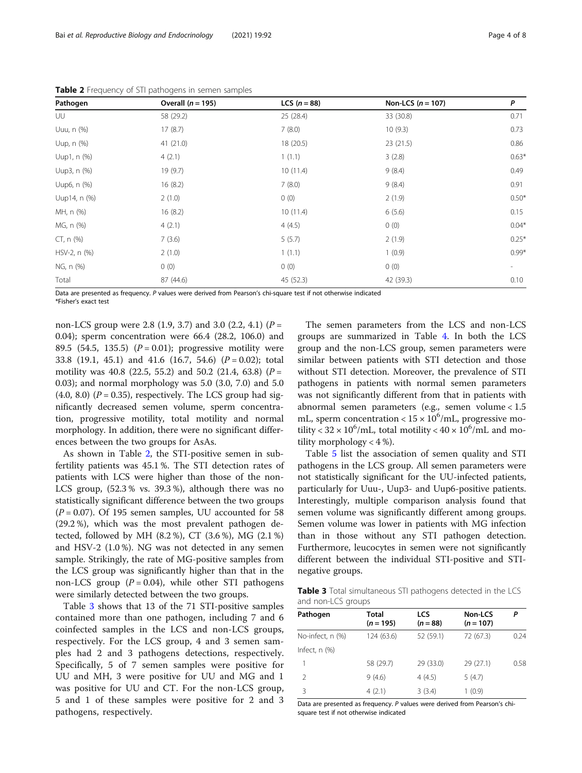| Pathogen     | Overall $(n = 195)$ | <b>LCS</b> $(n = 88)$ | Non-LCS $(n = 107)$ | P                        |  |
|--------------|---------------------|-----------------------|---------------------|--------------------------|--|
| UU           | 58 (29.2)           | 25 (28.4)             | 33 (30.8)           | 0.71                     |  |
| Uuu, n (%)   | 17(8.7)             | 7(8.0)                | 10(9.3)             | 0.73                     |  |
| Uup, n (%)   | 41(21.0)            | 18 (20.5)             | 23(21.5)            | 0.86                     |  |
| Uup1, n (%)  | 4(2.1)              | 1(1.1)                | 3(2.8)              | $0.63*$                  |  |
| Uup3, n (%)  | 19 (9.7)            | 10(11.4)              | 9(8.4)              | 0.49                     |  |
| Uup6, n (%)  | 16(8.2)             | 7(8.0)                | 9(8.4)              | 0.91                     |  |
| Uup14, n (%) | 2(1.0)              | 0(0)                  | 2(1.9)              | $0.50*$                  |  |
| MH, n (%)    | 16(8.2)             | 10(11.4)              | 6(5.6)              | 0.15                     |  |
| MG, n (%)    | 4(2.1)              | 4(4.5)                | 0(0)                | $0.04*$                  |  |
| $CT, n$ (%)  | 7(3.6)              | 5(5.7)                | 2(1.9)              | $0.25*$                  |  |
| HSV-2, n (%) | 2(1.0)              | 1(1.1)                | 1(0.9)              | $0.99*$                  |  |
| NG, n (%)    | 0(0)                | 0(0)                  | 0(0)                | $\overline{\phantom{a}}$ |  |
| Total        | 87 (44.6)           | 45 (52.3)             | 42 (39.3)           | 0.10                     |  |

<span id="page-3-0"></span>Table 2 Frequency of STI pathogens in semen samples

Data are presented as frequency. P values were derived from Pearson's chi-square test if not otherwise indicated \*Fisher's exact test

non-LCS group were 2.8 (1.9, 3.7) and 3.0 (2.2, 4.1) ( $P =$ 0.04); sperm concentration were 66.4 (28.2, 106.0) and 89.5 (54.5, 135.5) ( $P = 0.01$ ); progressive motility were 33.8 (19.1, 45.1) and 41.6 (16.7, 54.6)  $(P = 0.02)$ ; total motility was 40.8 (22.5, 55.2) and 50.2 (21.4, 63.8) ( $P =$ 0.03); and normal morphology was 5.0 (3.0, 7.0) and 5.0  $(4.0, 8.0)$   $(P = 0.35)$ , respectively. The LCS group had significantly decreased semen volume, sperm concentration, progressive motility, total motility and normal morphology. In addition, there were no significant differences between the two groups for AsAs.

As shown in Table 2, the STI-positive semen in subfertility patients was 45.1 %. The STI detection rates of patients with LCS were higher than those of the non-LCS group, (52.3 % vs. 39.3 %), although there was no statistically significant difference between the two groups  $(P = 0.07)$ . Of 195 semen samples, UU accounted for 58 (29.2 %), which was the most prevalent pathogen detected, followed by MH (8.2 %), CT (3.6 %), MG (2.1 %) and HSV-2 (1.0 %). NG was not detected in any semen sample. Strikingly, the rate of MG-positive samples from the LCS group was significantly higher than that in the non-LCS group  $(P = 0.04)$ , while other STI pathogens were similarly detected between the two groups.

Table 3 shows that 13 of the 71 STI-positive samples contained more than one pathogen, including 7 and 6 coinfected samples in the LCS and non-LCS groups, respectively. For the LCS group, 4 and 3 semen samples had 2 and 3 pathogens detections, respectively. Specifically, 5 of 7 semen samples were positive for UU and MH, 3 were positive for UU and MG and 1 was positive for UU and CT. For the non-LCS group, 5 and 1 of these samples were positive for 2 and 3 pathogens, respectively.

The semen parameters from the LCS and non-LCS groups are summarized in Table [4.](#page-4-0) In both the LCS group and the non-LCS group, semen parameters were similar between patients with STI detection and those without STI detection. Moreover, the prevalence of STI pathogens in patients with normal semen parameters was not significantly different from that in patients with abnormal semen parameters (e.g., semen volume < 1.5 mL, sperm concentration <  $15 \times 10^6$ /mL, progressive motility <  $32 \times 10^6$ /mL, total motility <  $40 \times 10^6$ /mL and motility morphology  $<$  4 %).

Table [5](#page-4-0) list the association of semen quality and STI pathogens in the LCS group. All semen parameters were not statistically significant for the UU-infected patients, particularly for Uuu-, Uup3- and Uup6-positive patients. Interestingly, multiple comparison analysis found that semen volume was significantly different among groups. Semen volume was lower in patients with MG infection than in those without any STI pathogen detection. Furthermore, leucocytes in semen were not significantly different between the individual STI-positive and STInegative groups.

Table 3 Total simultaneous STI pathogens detected in the LCS and non-LCS groups

| Pathogen           | <b>Total</b><br>$(n = 195)$ | LCS<br>$(n = 88)$ | Non-LCS<br>$(n = 107)$ |      |  |
|--------------------|-----------------------------|-------------------|------------------------|------|--|
| No-infect, n (%)   | 124 (63.6)                  | 52 (59.1)         | 72 (67.3)              | 0.24 |  |
| Infect, $n$ $(\%)$ |                             |                   |                        |      |  |
|                    | 58 (29.7)                   | 29 (33.0)         | 29(27.1)               | 0.58 |  |
| $\mathcal{P}$      | 9(4.6)                      | 4(4.5)            | 5(4.7)                 |      |  |
| 3                  | 4(2.1)                      | 3(3.4)            | 1(0.9)                 |      |  |

Data are presented as frequency. P values were derived from Pearson's chisquare test if not otherwise indicated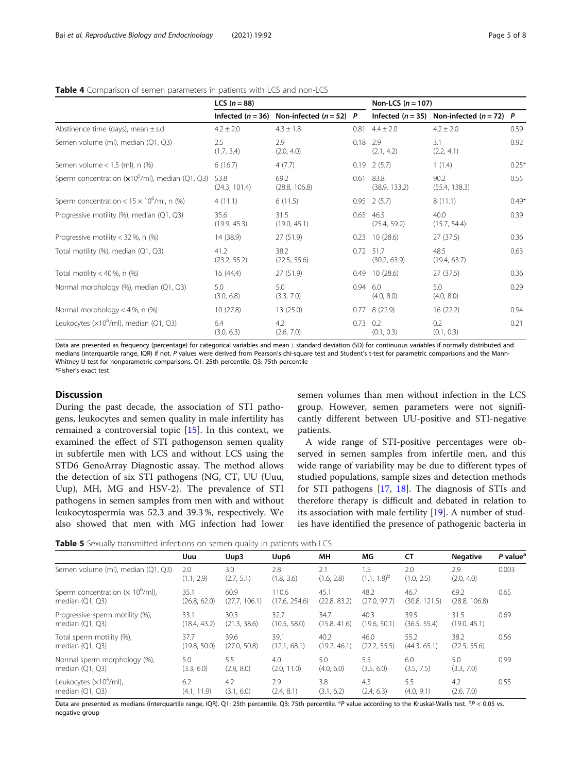|                                                           | <b>LCS</b> $(n = 88)$ |                           |            | Non-LCS $(n = 107)$       |                                                   |         |  |
|-----------------------------------------------------------|-----------------------|---------------------------|------------|---------------------------|---------------------------------------------------|---------|--|
|                                                           | Infected $(n = 36)$   | Non-infected $(n = 52)$ P |            |                           | Infected ( $n = 35$ ) Non-infected ( $n = 72$ ) P |         |  |
| Abstinence time (days), mean $\pm$ s.d                    | $4.2 \pm 2.0$         | $4.3 \pm 1.8$             |            | $0.81$ 4.4 ± 2.0          | $4.2 \pm 2.0$                                     | 0.59    |  |
| Semen volume (ml), median (Q1, Q3)                        | 2.5<br>(1.7, 3.4)     | 2.9<br>(2.0, 4.0)         | $0.18$ 2.9 | (2.1, 4.2)                | 3.1<br>(2.2, 4.1)                                 | 0.92    |  |
| Semen volume $<$ 1.5 (ml), n $(\%)$                       | 6(16.7)               | 4(7.7)                    | 0.19       | 2(5.7)                    | 1(1.4)                                            | $0.25*$ |  |
| Sperm concentration $(x10^6\text{/ml})$ , median (Q1, Q3) | 53.8<br>(24.3, 101.4) | 69.2<br>(28.8, 106.8)     | 0.61       | 83.8<br>(38.9, 133.2)     | 90.2<br>(55.4, 138.3)                             | 0.55    |  |
| Sperm concentration < $15 \times 10^6$ /ml, n (%)         | 4(11.1)               | 6(11.5)                   | 0.95       | 2(5.7)                    | 8(11.1)                                           | $0.49*$ |  |
| Progressive motility (%), median (Q1, Q3)                 | 35.6<br>(19.9, 45.3)  | 31.5<br>(19.0, 45.1)      | 0.65       | 46.5<br>(25.4, 59.2)      | 40.0<br>(15.7, 54.4)                              | 0.39    |  |
| Progressive motility < 32 %, n $(\%)$                     | 14 (38.9)             | 27(51.9)                  | 0.23       | 10(28.6)                  | 27(37.5)                                          | 0.36    |  |
| Total motility (%), median (Q1, Q3)                       | 41.2<br>(23.2, 55.2)  | 38.2<br>(22.5, 55.6)      |            | 0.72 51.7<br>(30.2, 63.9) | 48.5<br>(19.4, 63.7)                              | 0.63    |  |
| Total motility < 40 %, n $(\%)$                           | 16(44.4)              | 27 (51.9)                 | 0.49       | 10(28.6)                  | 27 (37.5)                                         | 0.36    |  |
| Normal morphology (%), median (Q1, Q3)                    | 5.0<br>(3.0, 6.8)     | 5.0<br>(3.3, 7.0)         | 0.94       | 6.0<br>(4.0, 8.0)         | 5.0<br>(4.0, 8.0)                                 | 0.29    |  |
| Normal morphology $<$ 4 %, n (%)                          | 10(27.8)              | 13(25.0)                  | 0.77       | 8(22.9)                   | 16(22.2)                                          | 0.94    |  |
| Leukocytes ( $\times 10^6$ /ml), median (Q1, Q3)          | 6.4<br>(3.0, 6.3)     | 4.2<br>(2.6, 7.0)         | 0.73       | 0.2<br>(0.1, 0.3)         | 0.2<br>(0.1, 0.3)                                 | 0.21    |  |

#### <span id="page-4-0"></span>Table 4 Comparison of semen parameters in patients with LCS and non-LCS

Data are presented as frequency (percentage) for categorical variables and mean ± standard deviation (SD) for continuous variables if normally distributed and medians (interquartile range, IQR) if not. P values were derived from Pearson's chi-square test and Student's t-test for parametric comparisons and the Mann-Whitney U test for nonparametric comparisons. Q1: 25th percentile. Q3: 75th percentile \*Fisher's exact test

# **Discussion**

During the past decade, the association of STI pathogens, leukocytes and semen quality in male infertility has remained a controversial topic [[15\]](#page-7-0). In this context, we examined the effect of STI pathogenson semen quality in subfertile men with LCS and without LCS using the STD6 GenoArray Diagnostic assay. The method allows the detection of six STI pathogens (NG, CT, UU (Uuu, Uup), MH, MG and HSV-2). The prevalence of STI pathogens in semen samples from men with and without leukocytospermia was 52.3 and 39.3 %, respectively. We also showed that men with MG infection had lower semen volumes than men without infection in the LCS group. However, semen parameters were not significantly different between UU-positive and STI-negative patients.

A wide range of STI-positive percentages were observed in semen samples from infertile men, and this wide range of variability may be due to different types of studied populations, sample sizes and detection methods for STI pathogens [\[17](#page-7-0), [18\]](#page-7-0). The diagnosis of STIs and therefore therapy is difficult and debated in relation to its association with male fertility [[19](#page-7-0)]. A number of studies have identified the presence of pathogenic bacteria in

Table 5 Sexually transmitted infections on semen quality in patients with LCS

|                                     | Uuu               | Uup3              | Uup6              | MH                | MG.                     | СT                | <b>Negative</b>   | $P$ value <sup>a</sup> |
|-------------------------------------|-------------------|-------------------|-------------------|-------------------|-------------------------|-------------------|-------------------|------------------------|
| Semen volume (ml), median (Q1, Q3)  | 2.0<br>(1.1, 2.9) | 3.0<br>(2.7, 5.1) | 2.8<br>(1.8, 3.6) | 2.1<br>(1.6, 2.8) | 1.5<br>$(1.1, 1.8)^{b}$ | 2.0<br>(1.0, 2.5) | 2.9<br>(2.0, 4.0) | 0.003                  |
| Sperm concentration $(x 10^6$ /ml), | 35.1              | 60.9              | 110.6             | 45.1              | 48.2                    | 46.7              | 69.2              | 0.65                   |
| median $(Q1, Q3)$                   | (26.8, 62.0)      | (27.7, 106.1)     | (17.6, 254.6)     | (22.8, 83.2)      | (27.0, 97.7)            | (30.8, 121.5)     | (28.8, 106.8)     |                        |
| Progressive sperm motility (%),     | 33.1              | 30.3              | 32.7              | 34.7              | 40.3                    | 39.5              | 31.5              | 0.69                   |
| median $(Q1, Q3)$                   | (18.4, 43.2)      | (21.3, 38.6)      | (10.5, 58.0)      | (15.8, 41.6)      | (19.6, 50.1)            | (36.5, 55.4)      | (19.0, 45.1)      |                        |
| Total sperm motility (%),           | 37.7              | 39.6              | 39.1              | 40.2              | 46.0                    | 55.2              | 38.2              | 0.56                   |
| median $(Q1, Q3)$                   | (19.8, 50.0)      | (27.0, 50.8)      | (12.1, 68.1)      | (19.2, 46.1)      | (22.2, 55.5)            | (44.3, 65.1)      | (22.5, 55.6)      |                        |
| Normal sperm morphology (%),        | 5.0               | 5.5               | 4.0               | 5.0               | 5.5                     | 6.0               | 5.0               | 0.99                   |
| median $(Q1, Q3)$                   | (3.3, 6.0)        | (2.8, 8.0)        | (2.0, 11.0)       | (4.0, 6.0)        | (3.5, 6.0)              | (3.5, 7.5)        | (3.3, 7.0)        |                        |
| Leukocytes (x10 <sup>6</sup> /ml),  | 6.2               | 4.2               | 2.9               | 3.8               | 4.3                     | 5.5               | 4.2               | 0.55                   |
| median $(Q1, Q3)$                   | (4.1, 11.9)       | (3.1, 6.0)        | (2.4, 8.1)        | (3.1, 6.2)        | (2.4, 6.3)              | (4.0, 9.1)        | (2.6, 7.0)        |                        |

Data are presented as medians (interquartile range, IQR). Q1: 25th percentile. Q3: 75th percentile. <sup>a</sup>P value according to the Kruskal-Wallis test. <sup>b</sup>P < 0.05 vs. negative group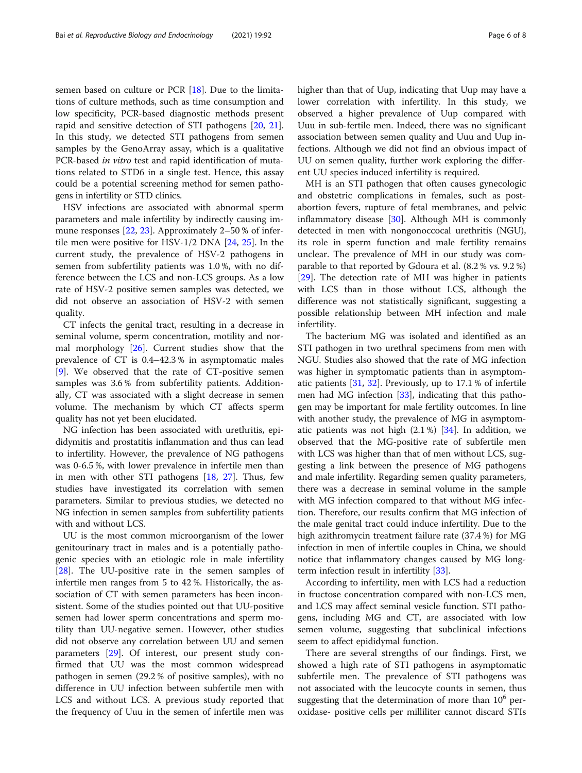semen based on culture or PCR [\[18](#page-7-0)]. Due to the limitations of culture methods, such as time consumption and low specificity, PCR-based diagnostic methods present rapid and sensitive detection of STI pathogens [[20](#page-7-0), [21](#page-7-0)]. In this study, we detected STI pathogens from semen samples by the GenoArray assay, which is a qualitative PCR-based in vitro test and rapid identification of mutations related to STD6 in a single test. Hence, this assay could be a potential screening method for semen pathogens in infertility or STD clinics.

HSV infections are associated with abnormal sperm parameters and male infertility by indirectly causing im-mune responses [[22](#page-7-0), [23](#page-7-0)]. Approximately 2–50 % of infertile men were positive for HSV-1/2 DNA [\[24](#page-7-0), [25](#page-7-0)]. In the current study, the prevalence of HSV-2 pathogens in semen from subfertility patients was 1.0 %, with no difference between the LCS and non-LCS groups. As a low rate of HSV-2 positive semen samples was detected, we did not observe an association of HSV-2 with semen quality.

CT infects the genital tract, resulting in a decrease in seminal volume, sperm concentration, motility and normal morphology [[26\]](#page-7-0). Current studies show that the prevalence of CT is 0.4–42.3 % in asymptomatic males [[9\]](#page-6-0). We observed that the rate of CT-positive semen samples was 3.6 % from subfertility patients. Additionally, CT was associated with a slight decrease in semen volume. The mechanism by which CT affects sperm quality has not yet been elucidated.

NG infection has been associated with urethritis, epididymitis and prostatitis inflammation and thus can lead to infertility. However, the prevalence of NG pathogens was 0-6.5 %, with lower prevalence in infertile men than in men with other STI pathogens [\[18](#page-7-0), [27](#page-7-0)]. Thus, few studies have investigated its correlation with semen parameters. Similar to previous studies, we detected no NG infection in semen samples from subfertility patients with and without LCS.

UU is the most common microorganism of the lower genitourinary tract in males and is a potentially pathogenic species with an etiologic role in male infertility [[28\]](#page-7-0). The UU-positive rate in the semen samples of infertile men ranges from 5 to 42 %. Historically, the association of CT with semen parameters has been inconsistent. Some of the studies pointed out that UU-positive semen had lower sperm concentrations and sperm motility than UU-negative semen. However, other studies did not observe any correlation between UU and semen parameters [\[29](#page-7-0)]. Of interest, our present study confirmed that UU was the most common widespread pathogen in semen (29.2 % of positive samples), with no difference in UU infection between subfertile men with LCS and without LCS. A previous study reported that the frequency of Uuu in the semen of infertile men was higher than that of Uup, indicating that Uup may have a lower correlation with infertility. In this study, we observed a higher prevalence of Uup compared with Uuu in sub-fertile men. Indeed, there was no significant association between semen quality and Uuu and Uup infections. Although we did not find an obvious impact of UU on semen quality, further work exploring the different UU species induced infertility is required.

MH is an STI pathogen that often causes gynecologic and obstetric complications in females, such as postabortion fevers, rupture of fetal membranes, and pelvic inflammatory disease [\[30](#page-7-0)]. Although MH is commonly detected in men with nongonoccocal urethritis (NGU), its role in sperm function and male fertility remains unclear. The prevalence of MH in our study was comparable to that reported by Gdoura et al. (8.2 % vs. 9.2 %) [[29\]](#page-7-0). The detection rate of MH was higher in patients with LCS than in those without LCS, although the difference was not statistically significant, suggesting a possible relationship between MH infection and male infertility.

The bacterium MG was isolated and identified as an STI pathogen in two urethral specimens from men with NGU. Studies also showed that the rate of MG infection was higher in symptomatic patients than in asymptomatic patients [[31,](#page-7-0) [32\]](#page-7-0). Previously, up to 17.1 % of infertile men had MG infection [\[33](#page-7-0)], indicating that this pathogen may be important for male fertility outcomes. In line with another study, the prevalence of MG in asymptomatic patients was not high  $(2.1\%)$  [[34](#page-7-0)]. In addition, we observed that the MG-positive rate of subfertile men with LCS was higher than that of men without LCS, suggesting a link between the presence of MG pathogens and male infertility. Regarding semen quality parameters, there was a decrease in seminal volume in the sample with MG infection compared to that without MG infection. Therefore, our results confirm that MG infection of the male genital tract could induce infertility. Due to the high azithromycin treatment failure rate (37.4 %) for MG infection in men of infertile couples in China, we should notice that inflammatory changes caused by MG longterm infection result in infertility [\[33\]](#page-7-0).

According to infertility, men with LCS had a reduction in fructose concentration compared with non-LCS men, and LCS may affect seminal vesicle function. STI pathogens, including MG and CT, are associated with low semen volume, suggesting that subclinical infections seem to affect epididymal function.

There are several strengths of our findings. First, we showed a high rate of STI pathogens in asymptomatic subfertile men. The prevalence of STI pathogens was not associated with the leucocyte counts in semen, thus suggesting that the determination of more than  $10^6$  peroxidase- positive cells per milliliter cannot discard STIs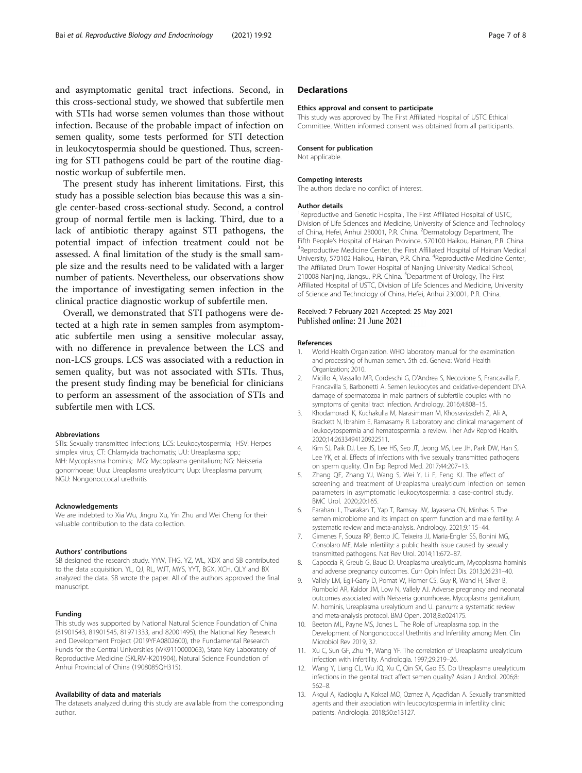<span id="page-6-0"></span>and asymptomatic genital tract infections. Second, in this cross-sectional study, we showed that subfertile men with STIs had worse semen volumes than those without infection. Because of the probable impact of infection on semen quality, some tests performed for STI detection in leukocytospermia should be questioned. Thus, screening for STI pathogens could be part of the routine diagnostic workup of subfertile men.

The present study has inherent limitations. First, this study has a possible selection bias because this was a single center-based cross-sectional study. Second, a control group of normal fertile men is lacking. Third, due to a lack of antibiotic therapy against STI pathogens, the potential impact of infection treatment could not be assessed. A final limitation of the study is the small sample size and the results need to be validated with a larger number of patients. Nevertheless, our observations show the importance of investigating semen infection in the clinical practice diagnostic workup of subfertile men.

Overall, we demonstrated that STI pathogens were detected at a high rate in semen samples from asymptomatic subfertile men using a sensitive molecular assay, with no difference in prevalence between the LCS and non-LCS groups. LCS was associated with a reduction in semen quality, but was not associated with STIs. Thus, the present study finding may be beneficial for clinicians to perform an assessment of the association of STIs and subfertile men with LCS.

#### Abbreviations

STIs: Sexually transmitted infections; LCS: Leukocytospermia; HSV: Herpes simplex virus; CT: Chlamyida trachomatis; UU: Ureaplasma spp.; MH: Mycoplasma hominis; MG: Mycoplasma genitalium; NG: Neisseria gonorrhoeae; Uuu: Ureaplasma urealyticum; Uup: Ureaplasma parvum; NGU: Nongonoccocal urethritis

#### Acknowledgements

We are indebted to Xia Wu, Jingru Xu, Yin Zhu and Wei Cheng for their valuable contribution to the data collection.

#### Authors' contributions

SB designed the research study. YYW, THG, YZ, WL, XDX and SB contributed to the data acquisition. YL, QJ, RL, WJT, MYS, YYT, BGX, XCH, QLY and BX analyzed the data. SB wrote the paper. All of the authors approved the final manuscript.

#### Funding

This study was supported by National Natural Science Foundation of China (81901543, 81901545, 81971333, and 82001495), the National Key Research and Development Project (2019YFA0802600), the Fundamental Research Funds for the Central Universities (WK9110000063), State Key Laboratory of Reproductive Medicine (SKLRM-K201904), Natural Science Foundation of Anhui Provincial of China (1908085QH315).

#### Availability of data and materials

The datasets analyzed during this study are available from the corresponding author.

# **Declarations**

#### Ethics approval and consent to participate

This study was approved by The First Affiliated Hospital of USTC Ethical Committee. Written informed consent was obtained from all participants.

#### Consent for publication

Not applicable.

#### Competing interests

The authors declare no conflict of interest.

#### Author details

<sup>1</sup>Reproductive and Genetic Hospital, The First Affiliated Hospital of USTC Division of Life Sciences and Medicine, University of Science and Technology of China, Hefei, Anhui 230001, P.R. China. <sup>2</sup>Dermatology Department, The Fifth People's Hospital of Hainan Province, 570100 Haikou, Hainan, P.R. China. <sup>3</sup> <sup>3</sup>Reproductive Medicine Center, the First Affiliated Hospital of Hainan Medical University, 570102 Haikou, Hainan, P.R. China. <sup>4</sup>Reproductive Medicine Center The Affiliated Drum Tower Hospital of Nanjing University Medical School, 210008 Nanjing, Jiangsu, P.R. China. <sup>5</sup>Department of Urology, The First Affiliated Hospital of USTC, Division of Life Sciences and Medicine, University of Science and Technology of China, Hefei, Anhui 230001, P.R. China.

#### Received: 7 February 2021 Accepted: 25 May 2021 Published online: 21 June 2021

#### References

- 1. World Health Organization. WHO laboratory manual for the examination and processing of human semen. 5th ed. Geneva: World Health Organization; 2010.
- 2. Micillo A, Vassallo MR, Cordeschi G, D'Andrea S, Necozione S, Francavilla F, Francavilla S, Barbonetti A. Semen leukocytes and oxidative-dependent DNA damage of spermatozoa in male partners of subfertile couples with no symptoms of genital tract infection. Andrology. 2016;4:808–15.
- 3. Khodamoradi K, Kuchakulla M, Narasimman M, Khosravizadeh Z, Ali A, Brackett N, Ibrahim E, Ramasamy R. Laboratory and clinical management of leukocytospermia and hematospermia: a review. Ther Adv Reprod Health. 2020;14:2633494120922511.
- Kim SJ, Paik DJ, Lee JS, Lee HS, Seo JT, Jeong MS, Lee JH, Park DW, Han S, Lee YK, et al. Effects of infections with five sexually transmitted pathogens on sperm quality. Clin Exp Reprod Med. 2017;44:207–13.
- 5. Zhang QF, Zhang YJ, Wang S, Wei Y, Li F, Feng KJ. The effect of screening and treatment of Ureaplasma urealyticum infection on semen parameters in asymptomatic leukocytospermia: a case-control study. BMC Urol. 2020;20:165.
- 6. Farahani L, Tharakan T, Yap T, Ramsay JW, Jayasena CN, Minhas S. The semen microbiome and its impact on sperm function and male fertility: A systematic review and meta-analysis. Andrology. 2021;9:115–44.
- 7. Gimenes F, Souza RP, Bento JC, Teixeira JJ, Maria-Engler SS, Bonini MG, Consolaro ME. Male infertility: a public health issue caused by sexually transmitted pathogens. Nat Rev Urol. 2014;11:672–87.
- 8. Capoccia R, Greub G, Baud D. Ureaplasma urealyticum, Mycoplasma hominis and adverse pregnancy outcomes. Curr Opin Infect Dis. 2013;26:231–40.
- 9. Vallely LM, Egli-Gany D, Pomat W, Homer CS, Guy R, Wand H, Silver B, Rumbold AR, Kaldor JM, Low N, Vallely AJ. Adverse pregnancy and neonatal outcomes associated with Neisseria gonorrhoeae, Mycoplasma genitalium, M. hominis, Ureaplasma urealyticum and U. parvum: a systematic review and meta-analysis protocol. BMJ Open. 2018;8:e024175.
- 10. Beeton ML, Payne MS, Jones L. The Role of Ureaplasma spp. in the Development of Nongonococcal Urethritis and Infertility among Men. Clin Microbiol Rev 2019, 32.
- 11. Xu C, Sun GF, Zhu YF, Wang YF. The correlation of Ureaplasma urealyticum infection with infertility. Andrologia. 1997;29:219–26.
- 12. Wang Y, Liang CL, Wu JQ, Xu C, Qin SX, Gao ES. Do Ureaplasma urealyticum infections in the genital tract affect semen quality? Asian J Androl. 2006;8: 562–8.
- 13. Akgul A, Kadioglu A, Koksal MO, Ozmez A, Agacfidan A. Sexually transmitted agents and their association with leucocytospermia in infertility clinic patients. Andrologia. 2018;50:e13127.